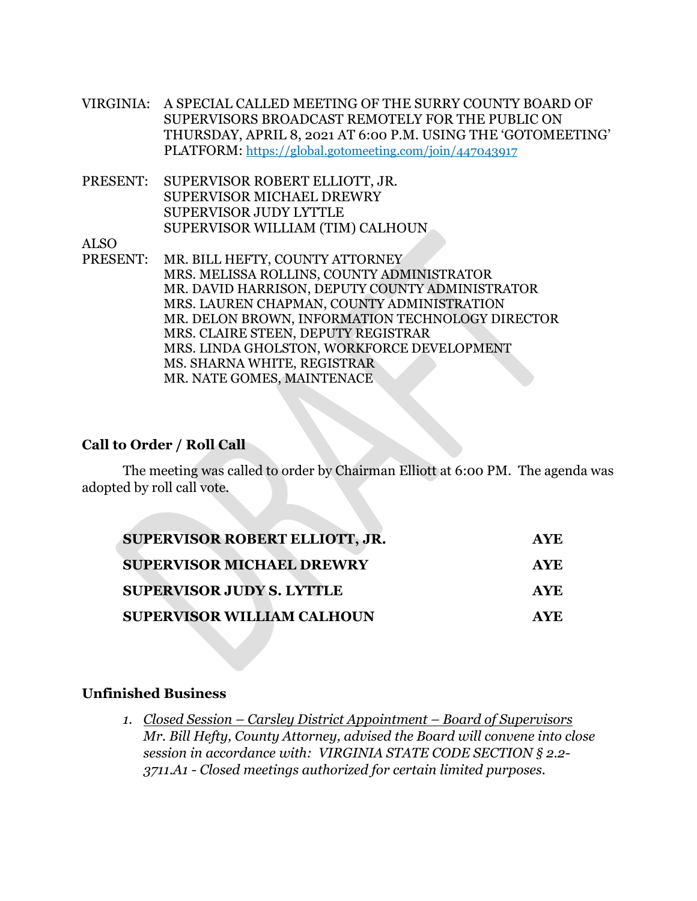- VIRGINIA: A SPECIAL CALLED MEETING OF THE SURRY COUNTY BOARD OF SUPERVISORS BROADCAST REMOTELY FOR THE PUBLIC ON THURSDAY, APRIL 8, 2021 AT 6:00 P.M. USING THE 'GOTOMEETING' PLATFORM: https://global.gotomeeting.com/join/447043917
- PRESENT: SUPERVISOR ROBERT ELLIOTT, JR. SUPERVISOR MICHAEL DREWRY SUPERVISOR JUDY LYTTLE SUPERVISOR WILLIAM (TIM) CALHOUN

ALSO

PRESENT: MR. BILL HEFTY, COUNTY ATTORNEY MRS. MELISSA ROLLINS, COUNTY ADMINISTRATOR MR. DAVID HARRISON, DEPUTY COUNTY ADMINISTRATOR MRS. LAUREN CHAPMAN, COUNTY ADMINISTRATION MR. DELON BROWN, INFORMATION TECHNOLOGY DIRECTOR MRS. CLAIRE STEEN, DEPUTY REGISTRAR MRS. LINDA GHOLSTON, WORKFORCE DEVELOPMENT MS. SHARNA WHITE, REGISTRAR MR. NATE GOMES, MAINTENACE

## **Call to Order / Roll Call**

The meeting was called to order by Chairman Elliott at 6:00 PM. The agenda was adopted by roll call vote.

| <b>SUPERVISOR ROBERT ELLIOTT, JR.</b> | AYE.       |
|---------------------------------------|------------|
| <b>SUPERVISOR MICHAEL DREWRY</b>      | <b>AYE</b> |
| <b>SUPERVISOR JUDY S. LYTTLE</b>      | <b>AYE</b> |
| <b>SUPERVISOR WILLIAM CALHOUN</b>     | AYE.       |

# **Unfinished Business**

*1. Closed Session – Carsley District Appointment – Board of Supervisors Mr. Bill Hefty, County Attorney, advised the Board will convene into close session in accordance with: VIRGINIA STATE CODE SECTION § 2.2- 3711.A1 - Closed meetings authorized for certain limited purposes.*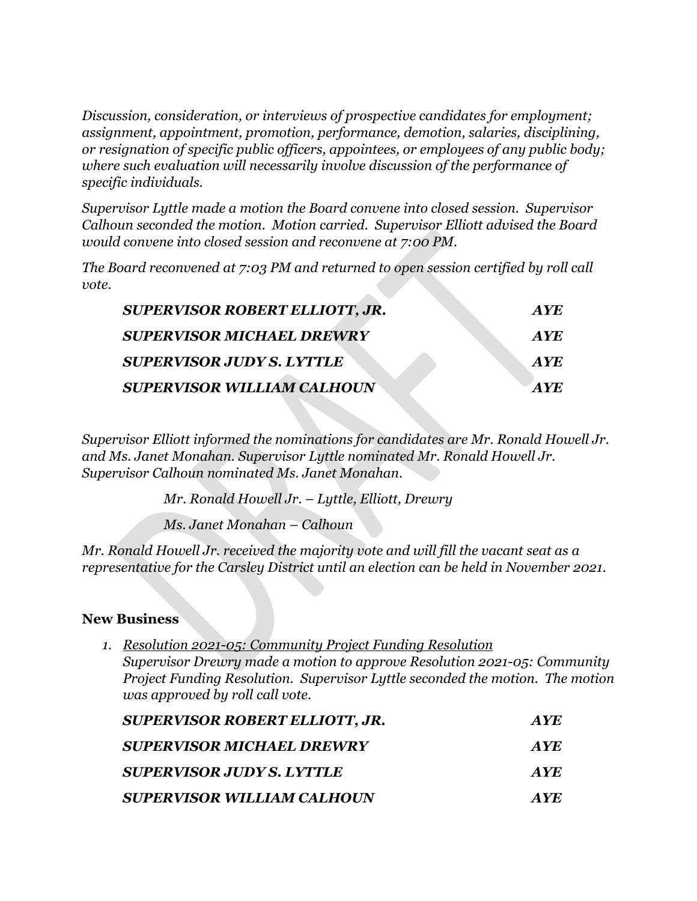*Discussion, consideration, or interviews of prospective candidates for employment; assignment, appointment, promotion, performance, demotion, salaries, disciplining, or resignation of specific public officers, appointees, or employees of any public body; where such evaluation will necessarily involve discussion of the performance of specific individuals.*

*Supervisor Lyttle made a motion the Board convene into closed session. Supervisor Calhoun seconded the motion. Motion carried. Supervisor Elliott advised the Board would convene into closed session and reconvene at 7:00 PM.* 

*The Board reconvened at 7:03 PM and returned to open session certified by roll call vote.* 

| <b>SUPERVISOR ROBERT ELLIOTT, JR.</b> | AYE        |
|---------------------------------------|------------|
| <b>SUPERVISOR MICHAEL DREWRY</b>      | <b>AYE</b> |
| <b>SUPERVISOR JUDY S. LYTTLE</b>      | <b>AYE</b> |
| <b>SUPERVISOR WILLIAM CALHOUN</b>     | <b>AVE</b> |

*Supervisor Elliott informed the nominations for candidates are Mr. Ronald Howell Jr. and Ms. Janet Monahan. Supervisor Lyttle nominated Mr. Ronald Howell Jr. Supervisor Calhoun nominated Ms. Janet Monahan.* 

*Mr. Ronald Howell Jr. – Lyttle, Elliott, Drewry*

*Ms. Janet Monahan – Calhoun*

*Mr. Ronald Howell Jr. received the majority vote and will fill the vacant seat as a representative for the Carsley District until an election can be held in November 2021.* 

# **New Business**

- *1. Resolution 2021-05: Community Project Funding Resolution Supervisor Drewry made a motion to approve Resolution 2021-05: Community Project Funding Resolution. Supervisor Lyttle seconded the motion. The motion was approved by roll call vote. SUPERVISOR ROBERT ELLIOTT, JR. AYE SUPERVISOR MICHAEL DREWRY AYE SUPERVISOR JUDY S. LYTTLE AYE*
	- *SUPERVISOR WILLIAM CALHOUN AYE*